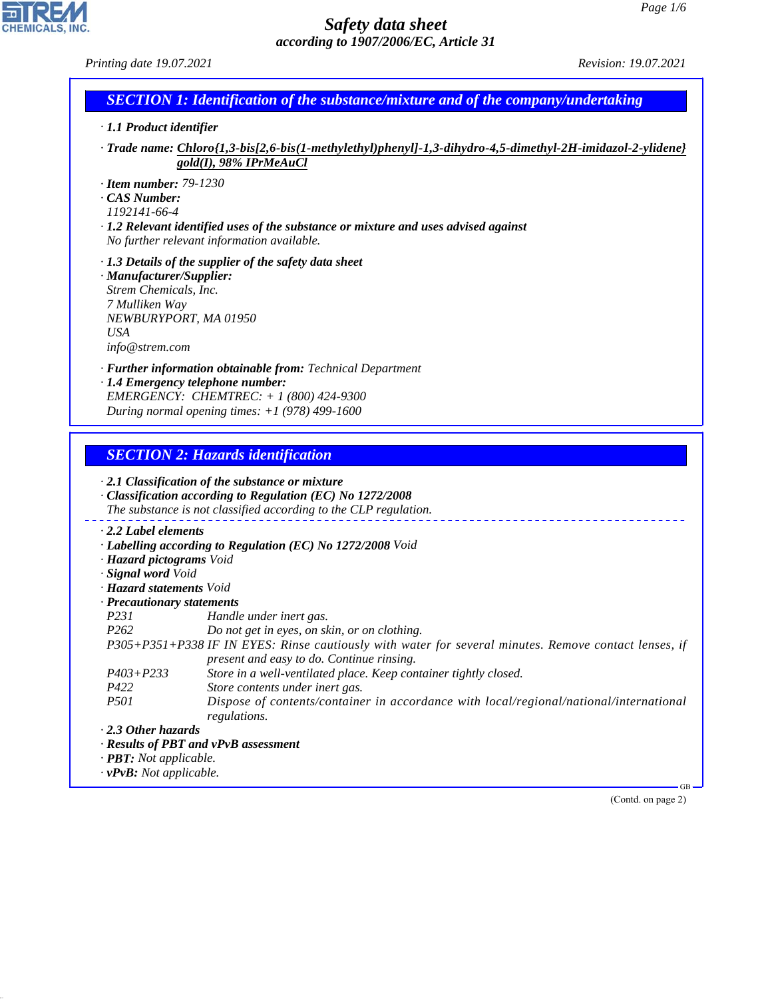| Printing date 19.07.2021                                                                                                             | <i>Revision: 19.07.2021</i>                                                                                                                                                                                                                                                                        |
|--------------------------------------------------------------------------------------------------------------------------------------|----------------------------------------------------------------------------------------------------------------------------------------------------------------------------------------------------------------------------------------------------------------------------------------------------|
|                                                                                                                                      | <b>SECTION 1: Identification of the substance/mixture and of the company/undertaking</b>                                                                                                                                                                                                           |
| $\cdot$ 1.1 Product identifier                                                                                                       |                                                                                                                                                                                                                                                                                                    |
|                                                                                                                                      | · Trade name: Chloro{1,3-bis[2,6-bis(1-methylethyl)phenyl]-1,3-dihydro-4,5-dimethyl-2H-imidazol-2-ylidene}<br>gold(I), 98% IPrMeAuCl                                                                                                                                                               |
| $\cdot$ Item number: 79-1230<br>CAS Number:<br>1192141-66-4                                                                          | $\cdot$ 1.2 Relevant identified uses of the substance or mixture and uses advised against<br>No further relevant information available.                                                                                                                                                            |
| · Manufacturer/Supplier:<br>Strem Chemicals, Inc.<br>7 Mulliken Way<br>NEWBURYPORT, MA 01950<br><b>USA</b><br>info@strem.com         | $\cdot$ 1.3 Details of the supplier of the safety data sheet                                                                                                                                                                                                                                       |
|                                                                                                                                      | · Further information obtainable from: Technical Department<br>· 1.4 Emergency telephone number:<br>EMERGENCY: CHEMTREC: + 1 (800) 424-9300<br>During normal opening times: $+1$ (978) 499-1600                                                                                                    |
| $\cdot$ 2.2 Label elements                                                                                                           | <b>SECTION 2: Hazards identification</b><br>$\cdot$ 2.1 Classification of the substance or mixture<br>· Classification according to Regulation (EC) No 1272/2008<br>The substance is not classified according to the CLP regulation.<br>· Labelling according to Regulation (EC) No 1272/2008 Void |
| · Hazard pictograms Void<br>· Signal word Void<br>· Hazard statements Void<br>· Precautionary statements<br>P231<br>P <sub>262</sub> | Handle under inert gas.<br>Do not get in eyes, on skin, or on clothing.                                                                                                                                                                                                                            |
| $P403 + P233$                                                                                                                        | P305+P351+P338 IF IN EYES: Rinse cautiously with water for several minutes. Remove contact lenses, if<br>present and easy to do. Continue rinsing.<br>Store in a well-ventilated place. Keep container tightly closed.                                                                             |
| P422<br>P <sub>501</sub>                                                                                                             | Store contents under inert gas.<br>Dispose of contents/container in accordance with local/regional/national/international<br>regulations.                                                                                                                                                          |
| 2.3 Other hazards<br>· <b>PBT</b> : Not applicable.<br>$\cdot$ vPvB: Not applicable.                                                 | · Results of PBT and vPvB assessment                                                                                                                                                                                                                                                               |
|                                                                                                                                      | $\cdot$ GB<br>(Contd. on page 2)                                                                                                                                                                                                                                                                   |
|                                                                                                                                      |                                                                                                                                                                                                                                                                                                    |

44.1.1

CHEMICALS, INC.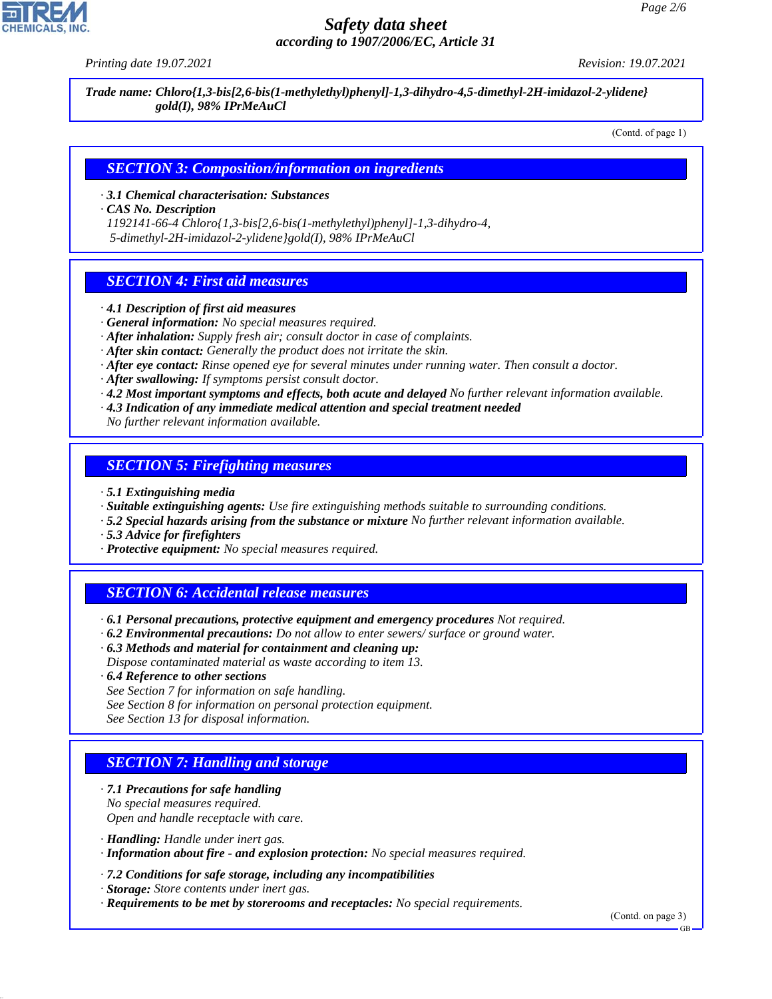*Printing date 19.07.2021 Revision: 19.07.2021*

*Trade name: Chloro{1,3-bis[2,6-bis(1-methylethyl)phenyl]-1,3-dihydro-4,5-dimethyl-2H-imidazol-2-ylidene} gold(I), 98% IPrMeAuCl*

(Contd. of page 1)

#### *SECTION 3: Composition/information on ingredients*

*· 3.1 Chemical characterisation: Substances*

*· CAS No. Description*

*1192141-66-4 Chloro{1,3-bis[2,6-bis(1-methylethyl)phenyl]-1,3-dihydro-4, 5-dimethyl-2H-imidazol-2-ylidene}gold(I), 98% IPrMeAuCl*

## *SECTION 4: First aid measures*

- *· 4.1 Description of first aid measures*
- *· General information: No special measures required.*
- *· After inhalation: Supply fresh air; consult doctor in case of complaints.*
- *· After skin contact: Generally the product does not irritate the skin.*
- *· After eye contact: Rinse opened eye for several minutes under running water. Then consult a doctor.*
- *· After swallowing: If symptoms persist consult doctor.*
- *· 4.2 Most important symptoms and effects, both acute and delayed No further relevant information available.*
- *· 4.3 Indication of any immediate medical attention and special treatment needed*

*No further relevant information available.*

#### *SECTION 5: Firefighting measures*

- *· 5.1 Extinguishing media*
- *· Suitable extinguishing agents: Use fire extinguishing methods suitable to surrounding conditions.*
- *· 5.2 Special hazards arising from the substance or mixture No further relevant information available.*
- *· 5.3 Advice for firefighters*
- *· Protective equipment: No special measures required.*

# *SECTION 6: Accidental release measures*

- *· 6.1 Personal precautions, protective equipment and emergency procedures Not required.*
- *· 6.2 Environmental precautions: Do not allow to enter sewers/ surface or ground water.*
- *· 6.3 Methods and material for containment and cleaning up: Dispose contaminated material as waste according to item 13.*
- *· 6.4 Reference to other sections*
- *See Section 7 for information on safe handling.*
- *See Section 8 for information on personal protection equipment.*
- *See Section 13 for disposal information.*

# *SECTION 7: Handling and storage*

- *· 7.1 Precautions for safe handling No special measures required. Open and handle receptacle with care.*
- *· Handling: Handle under inert gas.*

44.1.1

- *· Information about fire and explosion protection: No special measures required.*
- *· 7.2 Conditions for safe storage, including any incompatibilities*
- *· Storage: Store contents under inert gas.*
- *· Requirements to be met by storerooms and receptacles: No special requirements.*

(Contd. on page 3)

GB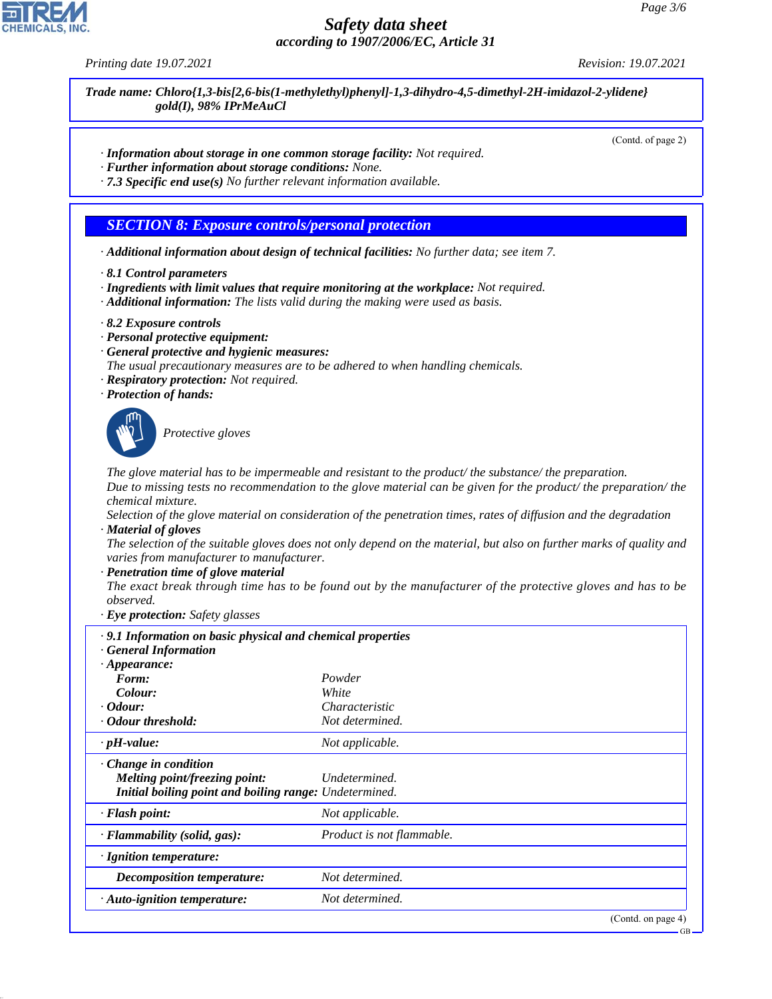*Printing date 19.07.2021 Revision: 19.07.2021*

*Trade name: Chloro{1,3-bis[2,6-bis(1-methylethyl)phenyl]-1,3-dihydro-4,5-dimethyl-2H-imidazol-2-ylidene} gold(I), 98% IPrMeAuCl*

(Contd. of page 2)

- *· Information about storage in one common storage facility: Not required.*
- *· Further information about storage conditions: None.*
- *· 7.3 Specific end use(s) No further relevant information available.*

#### *SECTION 8: Exposure controls/personal protection*

- *· Additional information about design of technical facilities: No further data; see item 7.*
- *· 8.1 Control parameters*
- *· Ingredients with limit values that require monitoring at the workplace: Not required.*
- *· Additional information: The lists valid during the making were used as basis.*
- *· 8.2 Exposure controls*
- *· Personal protective equipment:*
- *· General protective and hygienic measures:*
- *The usual precautionary measures are to be adhered to when handling chemicals.*
- *· Respiratory protection: Not required.*
- *· Protection of hands:*



44.1.1

\_S*Protective gloves*

*The glove material has to be impermeable and resistant to the product/ the substance/ the preparation. Due to missing tests no recommendation to the glove material can be given for the product/ the preparation/ the chemical mixture.*

*Selection of the glove material on consideration of the penetration times, rates of diffusion and the degradation · Material of gloves*

*The selection of the suitable gloves does not only depend on the material, but also on further marks of quality and varies from manufacturer to manufacturer.*

#### *· Penetration time of glove material*

*The exact break through time has to be found out by the manufacturer of the protective gloves and has to be observed.*

*· Eye protection: Safety glasses*

| · 9.1 Information on basic physical and chemical properties<br>· General Information                           |                           |
|----------------------------------------------------------------------------------------------------------------|---------------------------|
| $\cdot$ Appearance:                                                                                            |                           |
| Form:                                                                                                          | Powder                    |
| Colour:                                                                                                        | White                     |
| $\cdot$ Odour:                                                                                                 | Characteristic            |
| · Odour threshold:                                                                                             | Not determined.           |
| $\cdot$ pH-value:                                                                                              | Not applicable.           |
| Change in condition<br>Melting point/freezing point:<br>Initial boiling point and boiling range: Undetermined. | Undetermined.             |
| $\cdot$ Flash point:                                                                                           | Not applicable.           |
| $\cdot$ Flammability (solid, gas):                                                                             | Product is not flammable. |
| · Ignition temperature:                                                                                        |                           |
| <b>Decomposition temperature:</b>                                                                              | Not determined.           |
| · Auto-ignition temperature:                                                                                   | Not determined.           |
|                                                                                                                | (Cond. on page 4)         |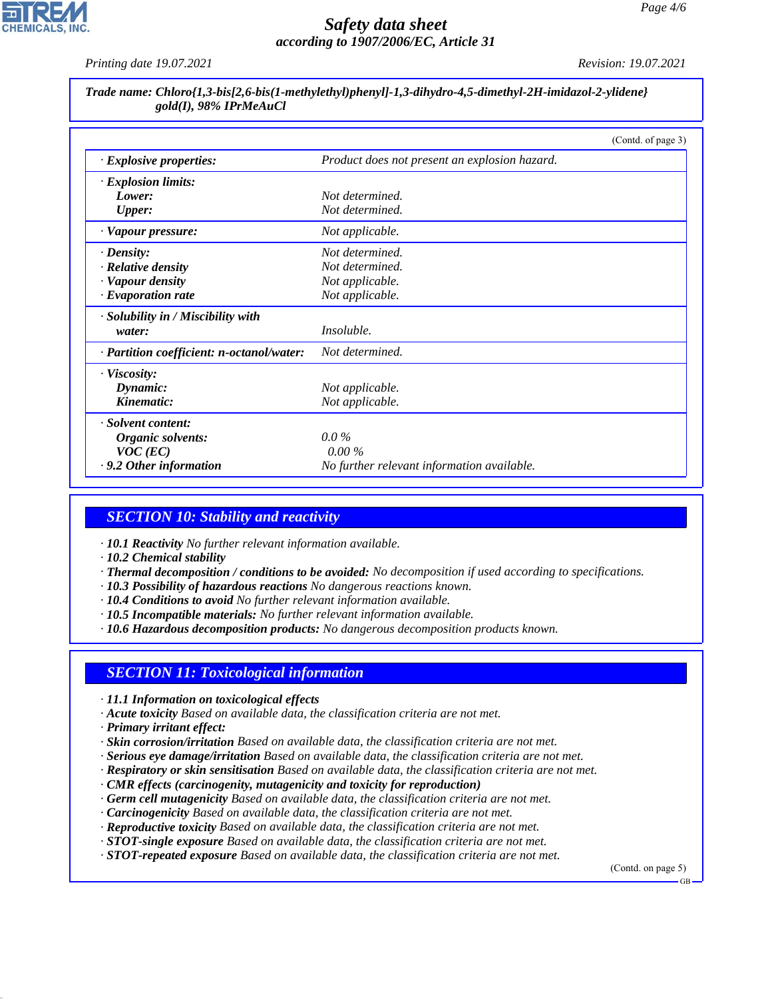

*Printing date 19.07.2021 Revision: 19.07.2021*

#### *Trade name: Chloro{1,3-bis[2,6-bis(1-methylethyl)phenyl]-1,3-dihydro-4,5-dimethyl-2H-imidazol-2-ylidene} gold(I), 98% IPrMeAuCl*

|                                           | (Contd. of page 3)                            |  |
|-------------------------------------------|-----------------------------------------------|--|
| $\cdot$ Explosive properties:             | Product does not present an explosion hazard. |  |
| $\cdot$ Explosion limits:                 |                                               |  |
| Lower:                                    | Not determined.                               |  |
| <b>Upper:</b>                             | Not determined.                               |  |
| · Vapour pressure:                        | Not applicable.                               |  |
| $\cdot$ Density:                          | Not determined.                               |  |
| · Relative density                        | Not determined.                               |  |
| · Vapour density                          | Not applicable.                               |  |
| $\cdot$ Evaporation rate                  | Not applicable.                               |  |
| · Solubility in / Miscibility with        |                                               |  |
| water:                                    | Insoluble.                                    |  |
| · Partition coefficient: n-octanol/water: | Not determined.                               |  |
| $\cdot$ Viscosity:                        |                                               |  |
| Dynamic:                                  | Not applicable.                               |  |
| Kinematic:                                | Not applicable.                               |  |
| · Solvent content:                        |                                               |  |
| Organic solvents:                         | $0.0\%$                                       |  |
| $VOC$ (EC)                                | $0.00\%$                                      |  |
| $\cdot$ 9.2 Other information             | No further relevant information available.    |  |

# *SECTION 10: Stability and reactivity*

- *· 10.1 Reactivity No further relevant information available.*
- *· 10.2 Chemical stability*
- *· Thermal decomposition / conditions to be avoided: No decomposition if used according to specifications.*
- *· 10.3 Possibility of hazardous reactions No dangerous reactions known.*
- *· 10.4 Conditions to avoid No further relevant information available.*
- *· 10.5 Incompatible materials: No further relevant information available.*
- *· 10.6 Hazardous decomposition products: No dangerous decomposition products known.*

## *SECTION 11: Toxicological information*

- *· 11.1 Information on toxicological effects*
- *· Acute toxicity Based on available data, the classification criteria are not met.*
- *· Primary irritant effect:*

44.1.1

- *· Skin corrosion/irritation Based on available data, the classification criteria are not met.*
- *· Serious eye damage/irritation Based on available data, the classification criteria are not met.*
- *· Respiratory or skin sensitisation Based on available data, the classification criteria are not met.*
- *· CMR effects (carcinogenity, mutagenicity and toxicity for reproduction)*
- *· Germ cell mutagenicity Based on available data, the classification criteria are not met.*
- *· Carcinogenicity Based on available data, the classification criteria are not met.*
- *· Reproductive toxicity Based on available data, the classification criteria are not met.*
- *· STOT-single exposure Based on available data, the classification criteria are not met.*
- *· STOT-repeated exposure Based on available data, the classification criteria are not met.*

(Contd. on page 5)

GB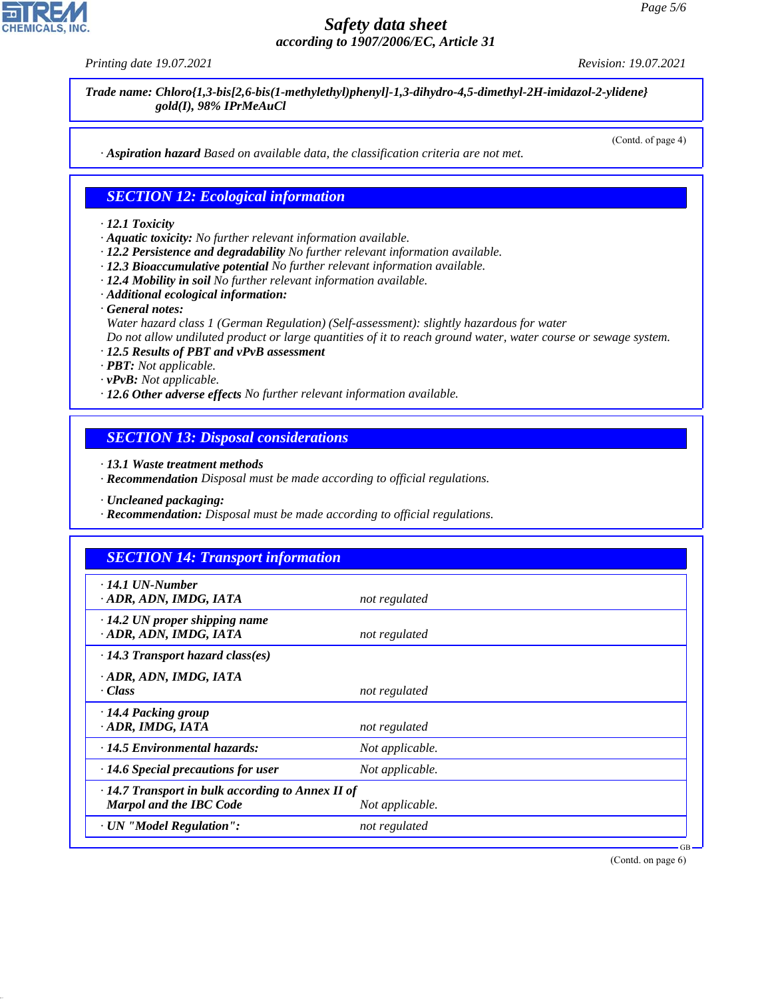44.1.1

# *Safety data sheet according to 1907/2006/EC, Article 31*

*Printing date 19.07.2021 Revision: 19.07.2021*

*Trade name: Chloro{1,3-bis[2,6-bis(1-methylethyl)phenyl]-1,3-dihydro-4,5-dimethyl-2H-imidazol-2-ylidene} gold(I), 98% IPrMeAuCl*

(Contd. of page 4)

*· Aspiration hazard Based on available data, the classification criteria are not met.*

#### *SECTION 12: Ecological information*

#### *· 12.1 Toxicity*

- *· Aquatic toxicity: No further relevant information available.*
- *· 12.2 Persistence and degradability No further relevant information available.*
- *· 12.3 Bioaccumulative potential No further relevant information available.*
- *· 12.4 Mobility in soil No further relevant information available.*
- *· Additional ecological information:*
- *· General notes:*
- *Water hazard class 1 (German Regulation) (Self-assessment): slightly hazardous for water*

*Do not allow undiluted product or large quantities of it to reach ground water, water course or sewage system.*

- *· 12.5 Results of PBT and vPvB assessment*
- *· PBT: Not applicable.*
- *· vPvB: Not applicable.*
- *· 12.6 Other adverse effects No further relevant information available.*

#### *SECTION 13: Disposal considerations*

*· 13.1 Waste treatment methods*

*· Recommendation Disposal must be made according to official regulations.*

*· Uncleaned packaging:*

*· Recommendation: Disposal must be made according to official regulations.*

| $\cdot$ 14.1 UN-Number                                  |                 |  |
|---------------------------------------------------------|-----------------|--|
| · ADR, ADN, IMDG, IATA                                  | not regulated   |  |
| $\cdot$ 14.2 UN proper shipping name                    |                 |  |
| · ADR, ADN, IMDG, IATA                                  | not regulated   |  |
| $\cdot$ 14.3 Transport hazard class(es)                 |                 |  |
| · ADR, ADN, IMDG, IATA                                  |                 |  |
| $\cdot Class$                                           | not regulated   |  |
| $\cdot$ 14.4 Packing group                              |                 |  |
| · ADR, IMDG, IATA                                       | not regulated   |  |
| $\cdot$ 14.5 Environmental hazards:                     | Not applicable. |  |
| $\cdot$ 14.6 Special precautions for user               | Not applicable. |  |
| $\cdot$ 14.7 Transport in bulk according to Annex II of |                 |  |
| <b>Marpol and the IBC Code</b>                          | Not applicable. |  |
| · UN "Model Regulation":                                | not regulated   |  |

(Contd. on page 6)